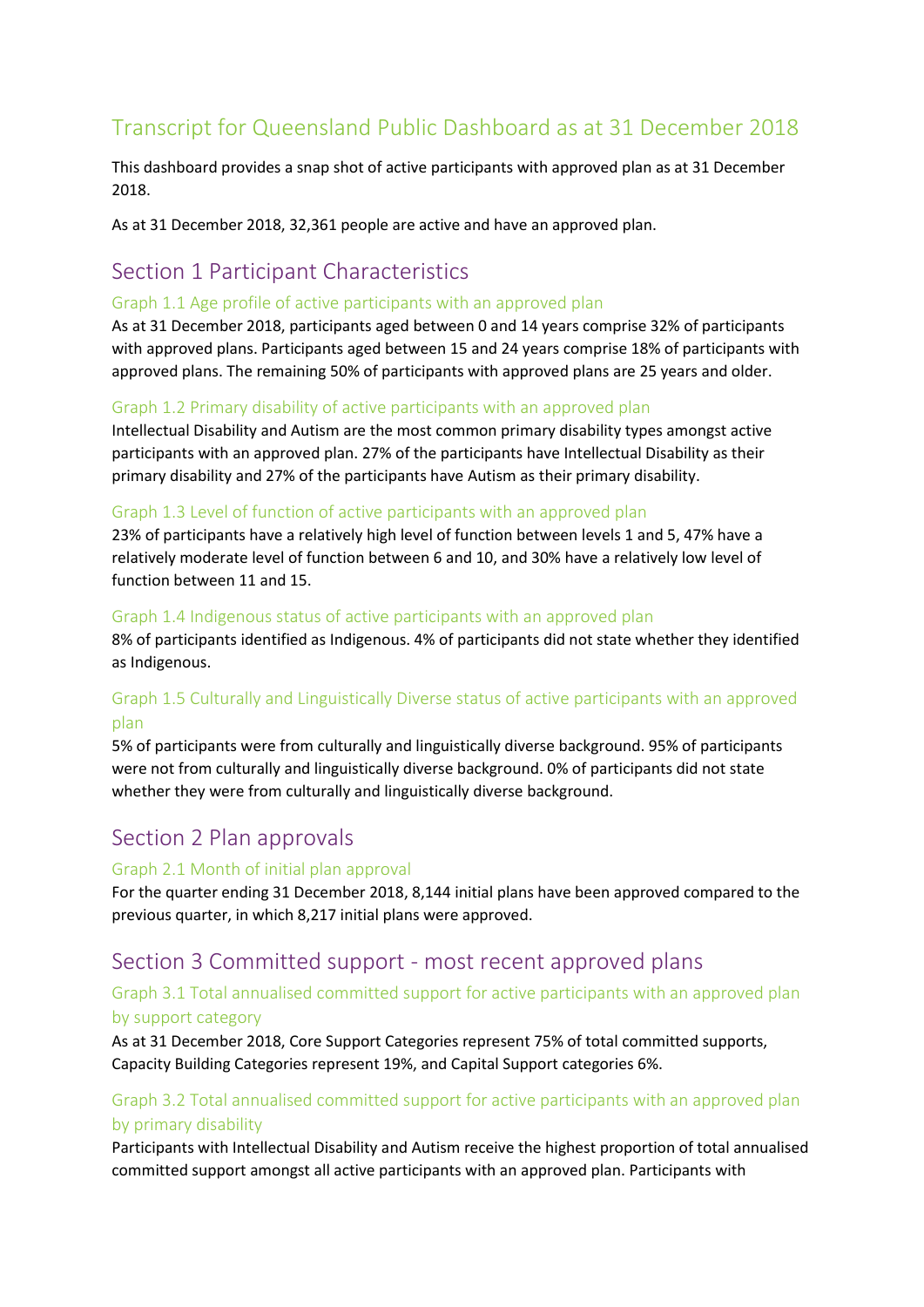# Transcript for Queensland Public Dashboard as at 31 December 2018

This dashboard provides a snap shot of active participants with approved plan as at 31 December 2018.

As at 31 December 2018, 32,361 people are active and have an approved plan.

## Section 1 Participant Characteristics

#### Graph 1.1 Age profile of active participants with an approved plan

As at 31 December 2018, participants aged between 0 and 14 years comprise 32% of participants with approved plans. Participants aged between 15 and 24 years comprise 18% of participants with approved plans. The remaining 50% of participants with approved plans are 25 years and older.

#### Graph 1.2 Primary disability of active participants with an approved plan

Intellectual Disability and Autism are the most common primary disability types amongst active participants with an approved plan. 27% of the participants have Intellectual Disability as their primary disability and 27% of the participants have Autism as their primary disability.

#### Graph 1.3 Level of function of active participants with an approved plan

23% of participants have a relatively high level of function between levels 1 and 5, 47% have a relatively moderate level of function between 6 and 10, and 30% have a relatively low level of function between 11 and 15.

#### Graph 1.4 Indigenous status of active participants with an approved plan

8% of participants identified as Indigenous. 4% of participants did not state whether they identified as Indigenous.

## Graph 1.5 Culturally and Linguistically Diverse status of active participants with an approved plan

5% of participants were from culturally and linguistically diverse background. 95% of participants were not from culturally and linguistically diverse background. 0% of participants did not state whether they were from culturally and linguistically diverse background.

## Section 2 Plan approvals

#### Graph 2.1 Month of initial plan approval

For the quarter ending 31 December 2018, 8,144 initial plans have been approved compared to the previous quarter, in which 8,217 initial plans were approved.

## Section 3 Committed support - most recent approved plans

### Graph 3.1 Total annualised committed support for active participants with an approved plan by support category

As at 31 December 2018, Core Support Categories represent 75% of total committed supports, Capacity Building Categories represent 19%, and Capital Support categories 6%.

## Graph 3.2 Total annualised committed support for active participants with an approved plan by primary disability

Participants with Intellectual Disability and Autism receive the highest proportion of total annualised committed support amongst all active participants with an approved plan. Participants with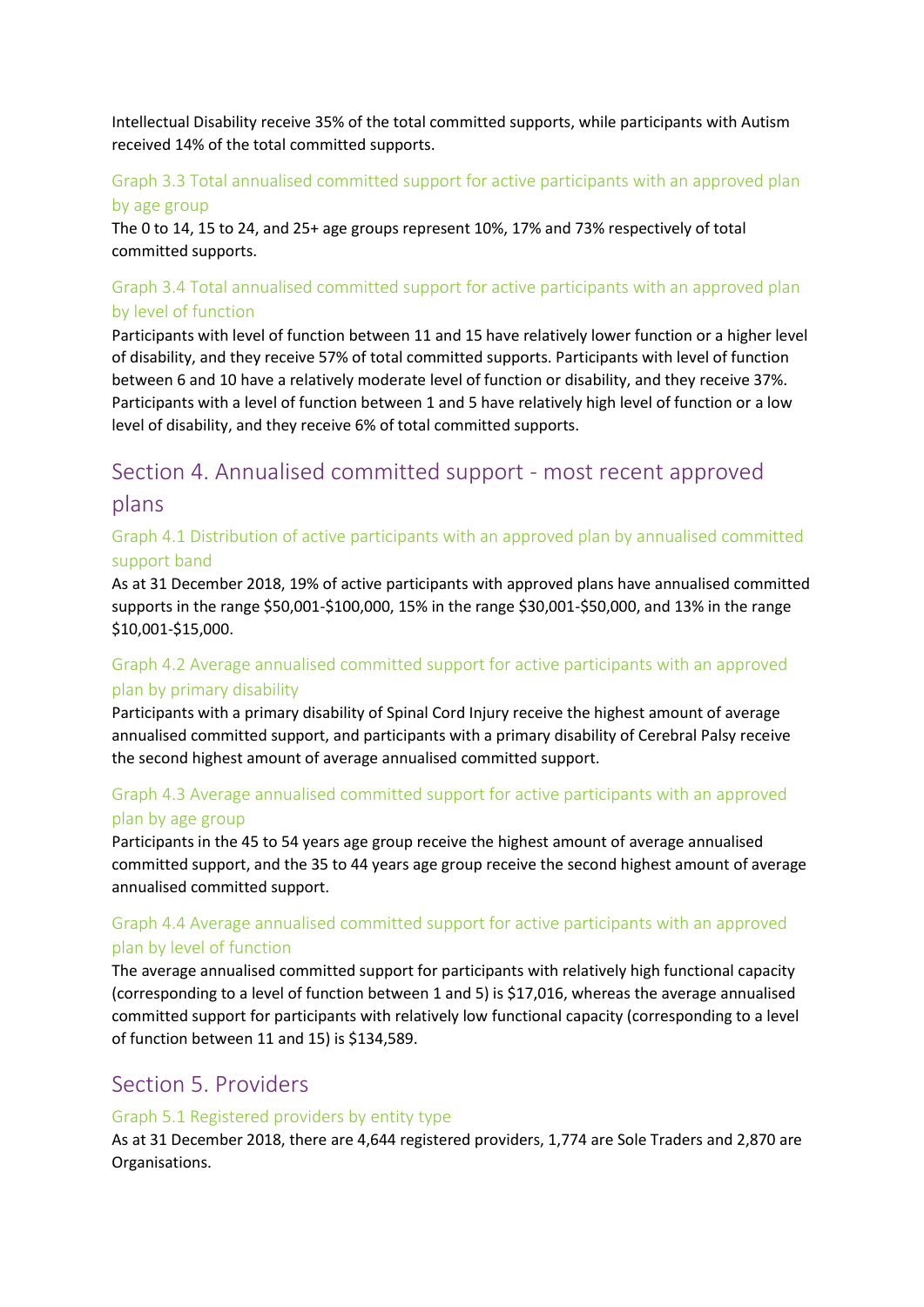Intellectual Disability receive 35% of the total committed supports, while participants with Autism received 14% of the total committed supports.

## Graph 3.3 Total annualised committed support for active participants with an approved plan

#### by age group

The 0 to 14, 15 to 24, and 25+ age groups represent 10%, 17% and 73% respectively of total committed supports.

## Graph 3.4 Total annualised committed support for active participants with an approved plan by level of function

Participants with level of function between 11 and 15 have relatively lower function or a higher level of disability, and they receive 57% of total committed supports. Participants with level of function between 6 and 10 have a relatively moderate level of function or disability, and they receive 37%. Participants with a level of function between 1 and 5 have relatively high level of function or a low level of disability, and they receive 6% of total committed supports.

# Section 4. Annualised committed support - most recent approved plans

## Graph 4.1 Distribution of active participants with an approved plan by annualised committed support band

As at 31 December 2018, 19% of active participants with approved plans have annualised committed supports in the range \$50,001-\$100,000, 15% in the range \$30,001-\$50,000, and 13% in the range \$10,001-\$15,000.

## Graph 4.2 Average annualised committed support for active participants with an approved plan by primary disability

Participants with a primary disability of Spinal Cord Injury receive the highest amount of average annualised committed support, and participants with a primary disability of Cerebral Palsy receive the second highest amount of average annualised committed support.

## Graph 4.3 Average annualised committed support for active participants with an approved plan by age group

Participants in the 45 to 54 years age group receive the highest amount of average annualised committed support, and the 35 to 44 years age group receive the second highest amount of average annualised committed support.

## Graph 4.4 Average annualised committed support for active participants with an approved plan by level of function

The average annualised committed support for participants with relatively high functional capacity (corresponding to a level of function between 1 and 5) is \$17,016, whereas the average annualised committed support for participants with relatively low functional capacity (corresponding to a level of function between 11 and 15) is \$134,589.

## Section 5. Providers

#### Graph 5.1 Registered providers by entity type

As at 31 December 2018, there are 4,644 registered providers, 1,774 are Sole Traders and 2,870 are Organisations.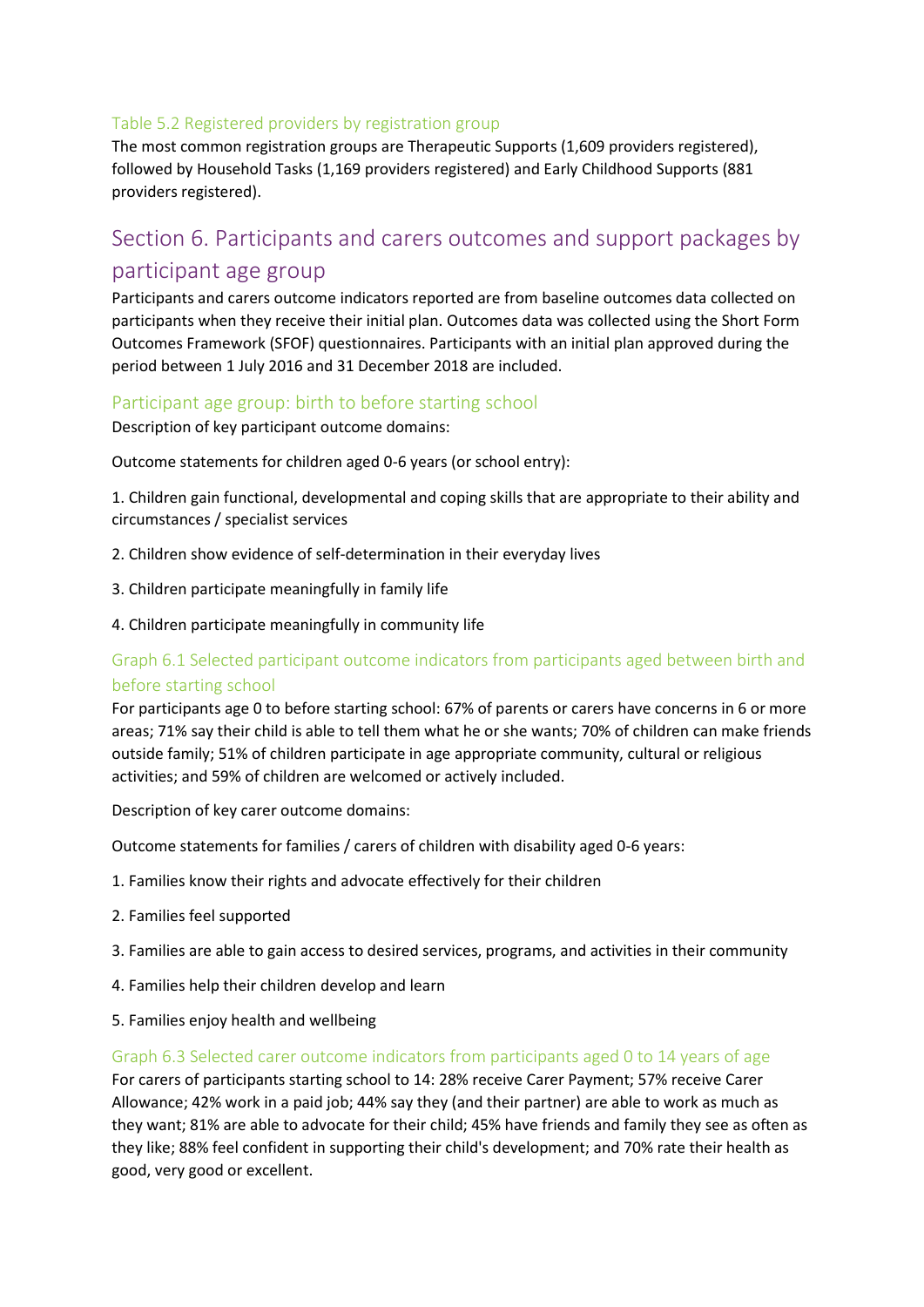#### Table 5.2 Registered providers by registration group

The most common registration groups are Therapeutic Supports (1,609 providers registered), followed by Household Tasks (1,169 providers registered) and Early Childhood Supports (881 providers registered).

# Section 6. Participants and carers outcomes and support packages by participant age group

Participants and carers outcome indicators reported are from baseline outcomes data collected on participants when they receive their initial plan. Outcomes data was collected using the Short Form Outcomes Framework (SFOF) questionnaires. Participants with an initial plan approved during the period between 1 July 2016 and 31 December 2018 are included.

#### Participant age group: birth to before starting school

Description of key participant outcome domains:

Outcome statements for children aged 0-6 years (or school entry):

1. Children gain functional, developmental and coping skills that are appropriate to their ability and circumstances / specialist services

- 2. Children show evidence of self-determination in their everyday lives
- 3. Children participate meaningfully in family life
- 4. Children participate meaningfully in community life

### Graph 6.1 Selected participant outcome indicators from participants aged between birth and before starting school

For participants age 0 to before starting school: 67% of parents or carers have concerns in 6 or more areas; 71% say their child is able to tell them what he or she wants; 70% of children can make friends outside family; 51% of children participate in age appropriate community, cultural or religious activities; and 59% of children are welcomed or actively included.

Description of key carer outcome domains:

Outcome statements for families / carers of children with disability aged 0-6 years:

- 1. Families know their rights and advocate effectively for their children
- 2. Families feel supported
- 3. Families are able to gain access to desired services, programs, and activities in their community
- 4. Families help their children develop and learn
- 5. Families enjoy health and wellbeing

#### Graph 6.3 Selected carer outcome indicators from participants aged 0 to 14 years of age

For carers of participants starting school to 14: 28% receive Carer Payment; 57% receive Carer Allowance; 42% work in a paid job; 44% say they (and their partner) are able to work as much as they want; 81% are able to advocate for their child; 45% have friends and family they see as often as they like; 88% feel confident in supporting their child's development; and 70% rate their health as good, very good or excellent.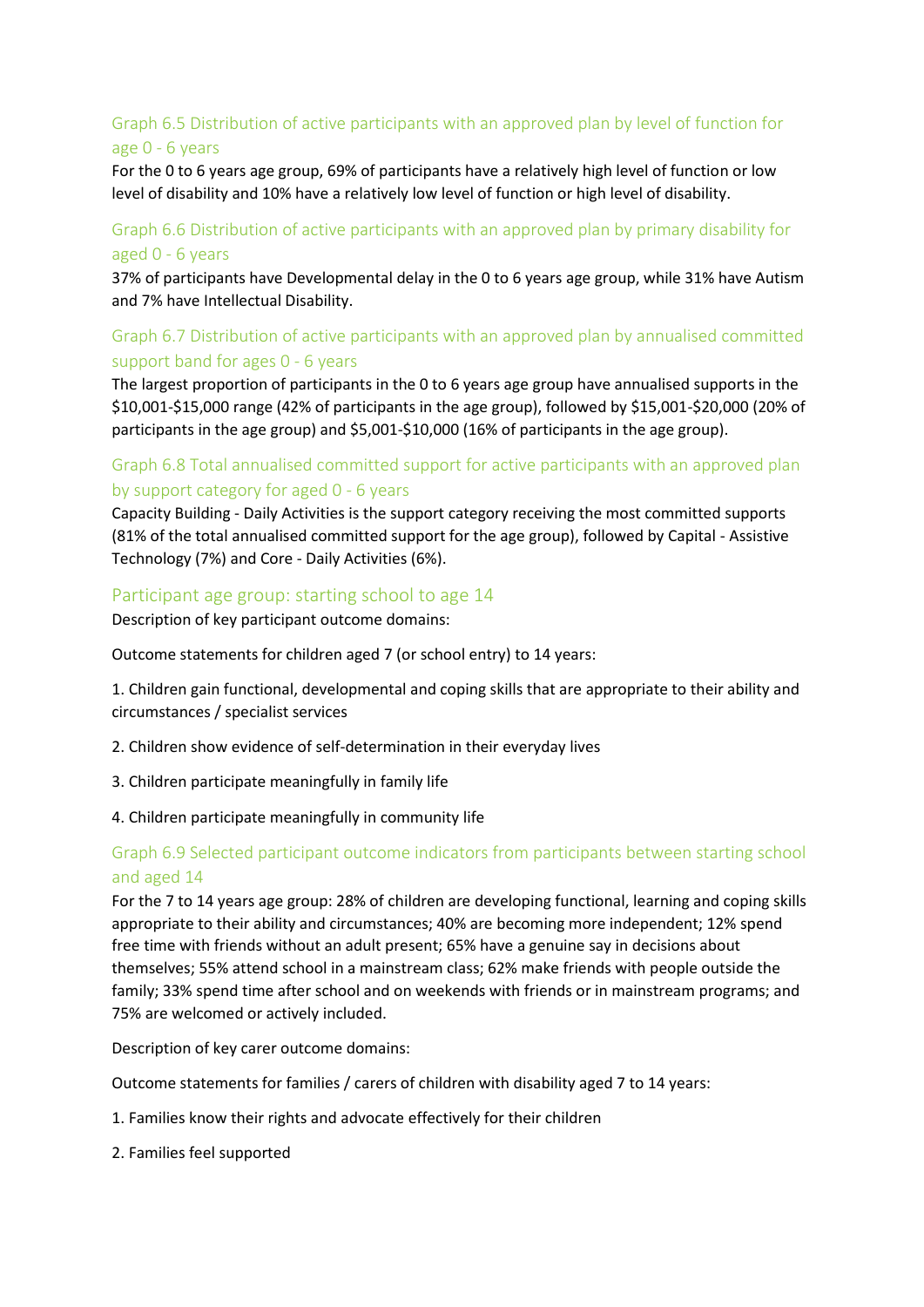## Graph 6.5 Distribution of active participants with an approved plan by level of function for age 0 - 6 years

For the 0 to 6 years age group, 69% of participants have a relatively high level of function or low level of disability and 10% have a relatively low level of function or high level of disability.

#### Graph 6.6 Distribution of active participants with an approved plan by primary disability for aged 0 - 6 years

37% of participants have Developmental delay in the 0 to 6 years age group, while 31% have Autism and 7% have Intellectual Disability.

### Graph 6.7 Distribution of active participants with an approved plan by annualised committed support band for ages 0 - 6 years

The largest proportion of participants in the 0 to 6 years age group have annualised supports in the \$10,001-\$15,000 range (42% of participants in the age group), followed by \$15,001-\$20,000 (20% of participants in the age group) and \$5,001-\$10,000 (16% of participants in the age group).

#### Graph 6.8 Total annualised committed support for active participants with an approved plan by support category for aged 0 - 6 years

Capacity Building - Daily Activities is the support category receiving the most committed supports (81% of the total annualised committed support for the age group), followed by Capital - Assistive Technology (7%) and Core - Daily Activities (6%).

#### Participant age group: starting school to age 14

Description of key participant outcome domains:

Outcome statements for children aged 7 (or school entry) to 14 years:

1. Children gain functional, developmental and coping skills that are appropriate to their ability and circumstances / specialist services

- 2. Children show evidence of self-determination in their everyday lives
- 3. Children participate meaningfully in family life
- 4. Children participate meaningfully in community life

#### Graph 6.9 Selected participant outcome indicators from participants between starting school and aged 14

For the 7 to 14 years age group: 28% of children are developing functional, learning and coping skills appropriate to their ability and circumstances; 40% are becoming more independent; 12% spend free time with friends without an adult present; 65% have a genuine say in decisions about themselves; 55% attend school in a mainstream class; 62% make friends with people outside the family; 33% spend time after school and on weekends with friends or in mainstream programs; and 75% are welcomed or actively included.

Description of key carer outcome domains:

Outcome statements for families / carers of children with disability aged 7 to 14 years:

- 1. Families know their rights and advocate effectively for their children
- 2. Families feel supported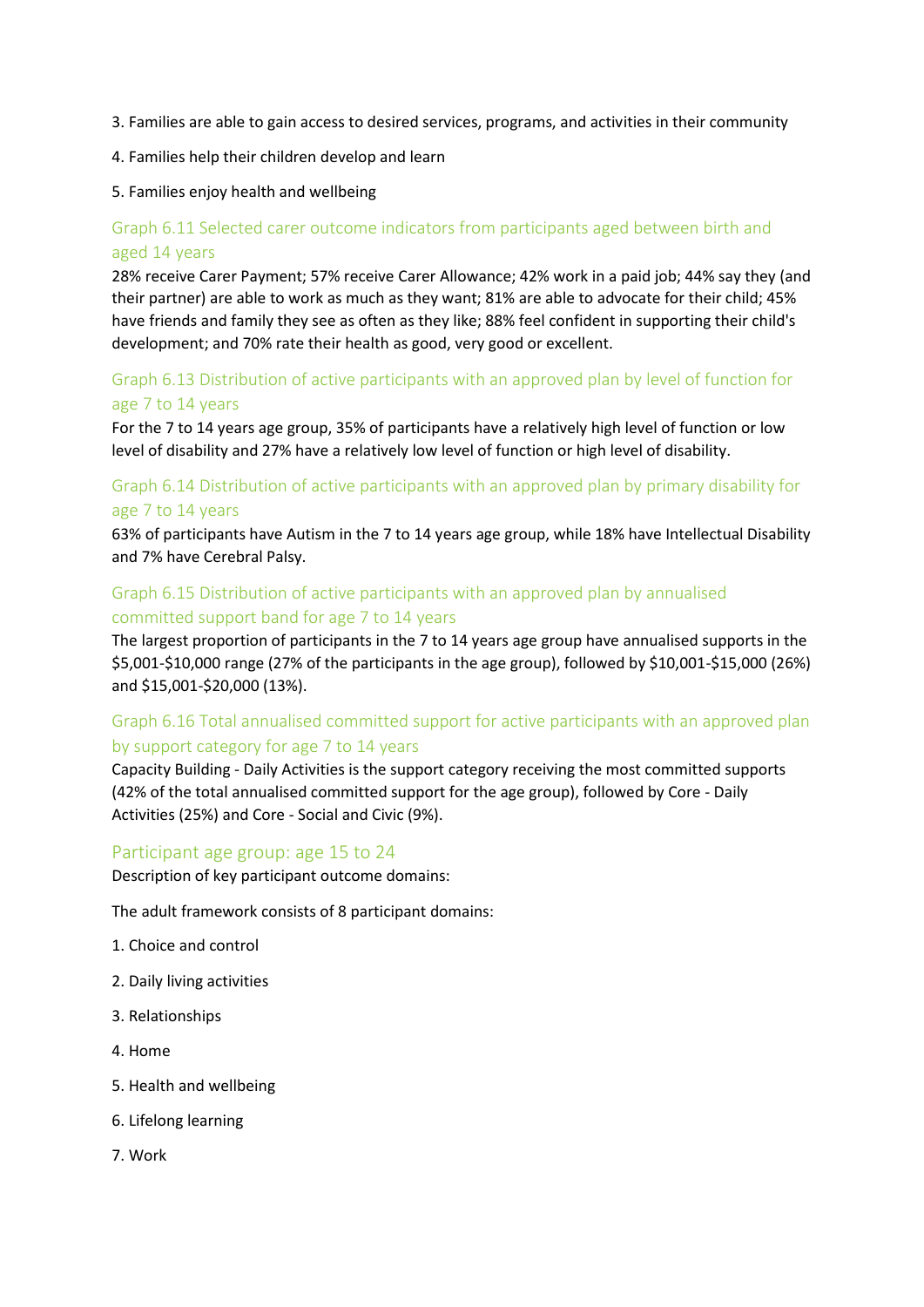- 3. Families are able to gain access to desired services, programs, and activities in their community
- 4. Families help their children develop and learn
- 5. Families enjoy health and wellbeing

## Graph 6.11 Selected carer outcome indicators from participants aged between birth and aged 14 years

28% receive Carer Payment; 57% receive Carer Allowance; 42% work in a paid job; 44% say they (and their partner) are able to work as much as they want; 81% are able to advocate for their child; 45% have friends and family they see as often as they like; 88% feel confident in supporting their child's development; and 70% rate their health as good, very good or excellent.

### Graph 6.13 Distribution of active participants with an approved plan by level of function for age 7 to 14 years

For the 7 to 14 years age group, 35% of participants have a relatively high level of function or low level of disability and 27% have a relatively low level of function or high level of disability.

## Graph 6.14 Distribution of active participants with an approved plan by primary disability for age 7 to 14 years

63% of participants have Autism in the 7 to 14 years age group, while 18% have Intellectual Disability and 7% have Cerebral Palsy.

### Graph 6.15 Distribution of active participants with an approved plan by annualised committed support band for age 7 to 14 years

The largest proportion of participants in the 7 to 14 years age group have annualised supports in the \$5,001-\$10,000 range (27% of the participants in the age group), followed by \$10,001-\$15,000 (26%) and \$15,001-\$20,000 (13%).

## Graph 6.16 Total annualised committed support for active participants with an approved plan by support category for age 7 to 14 years

Capacity Building - Daily Activities is the support category receiving the most committed supports (42% of the total annualised committed support for the age group), followed by Core - Daily Activities (25%) and Core - Social and Civic (9%).

#### Participant age group: age 15 to 24

Description of key participant outcome domains:

The adult framework consists of 8 participant domains:

- 1. Choice and control
- 2. Daily living activities
- 3. Relationships
- 4. Home
- 5. Health and wellbeing
- 6. Lifelong learning
- 7. Work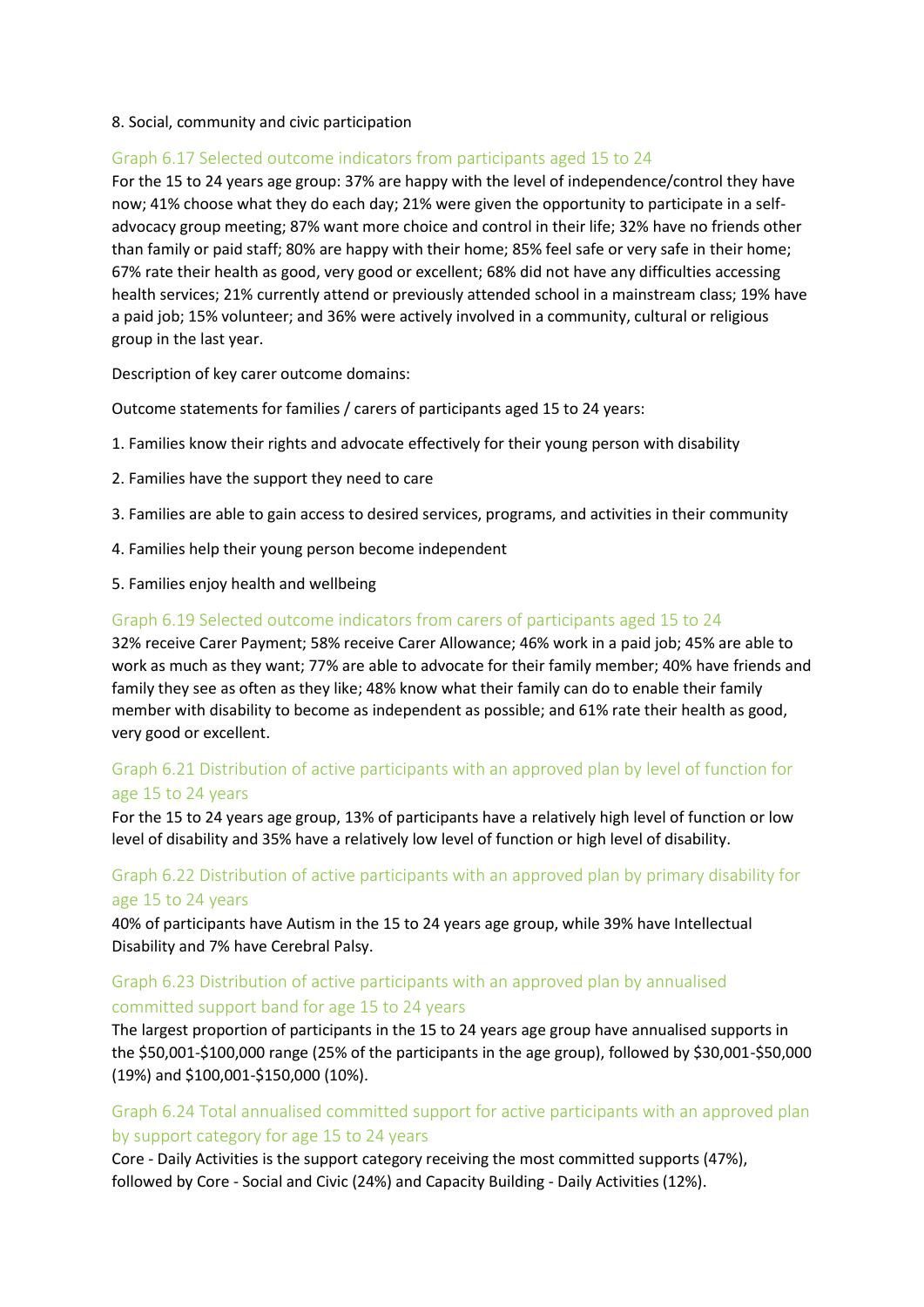#### 8. Social, community and civic participation

#### Graph 6.17 Selected outcome indicators from participants aged 15 to 24

For the 15 to 24 years age group: 37% are happy with the level of independence/control they have now; 41% choose what they do each day; 21% were given the opportunity to participate in a selfadvocacy group meeting; 87% want more choice and control in their life; 32% have no friends other than family or paid staff; 80% are happy with their home; 85% feel safe or very safe in their home; 67% rate their health as good, very good or excellent; 68% did not have any difficulties accessing health services; 21% currently attend or previously attended school in a mainstream class; 19% have a paid job; 15% volunteer; and 36% were actively involved in a community, cultural or religious group in the last year.

Description of key carer outcome domains:

Outcome statements for families / carers of participants aged 15 to 24 years:

- 1. Families know their rights and advocate effectively for their young person with disability
- 2. Families have the support they need to care
- 3. Families are able to gain access to desired services, programs, and activities in their community
- 4. Families help their young person become independent
- 5. Families enjoy health and wellbeing

#### Graph 6.19 Selected outcome indicators from carers of participants aged 15 to 24

32% receive Carer Payment; 58% receive Carer Allowance; 46% work in a paid job; 45% are able to work as much as they want; 77% are able to advocate for their family member; 40% have friends and family they see as often as they like; 48% know what their family can do to enable their family member with disability to become as independent as possible; and 61% rate their health as good, very good or excellent.

#### Graph 6.21 Distribution of active participants with an approved plan by level of function for age 15 to 24 years

For the 15 to 24 years age group, 13% of participants have a relatively high level of function or low level of disability and 35% have a relatively low level of function or high level of disability.

#### Graph 6.22 Distribution of active participants with an approved plan by primary disability for age 15 to 24 years

40% of participants have Autism in the 15 to 24 years age group, while 39% have Intellectual Disability and 7% have Cerebral Palsy.

#### Graph 6.23 Distribution of active participants with an approved plan by annualised committed support band for age 15 to 24 years

The largest proportion of participants in the 15 to 24 years age group have annualised supports in the \$50,001-\$100,000 range (25% of the participants in the age group), followed by \$30,001-\$50,000 (19%) and \$100,001-\$150,000 (10%).

#### Graph 6.24 Total annualised committed support for active participants with an approved plan by support category for age 15 to 24 years

Core - Daily Activities is the support category receiving the most committed supports (47%), followed by Core - Social and Civic (24%) and Capacity Building - Daily Activities (12%).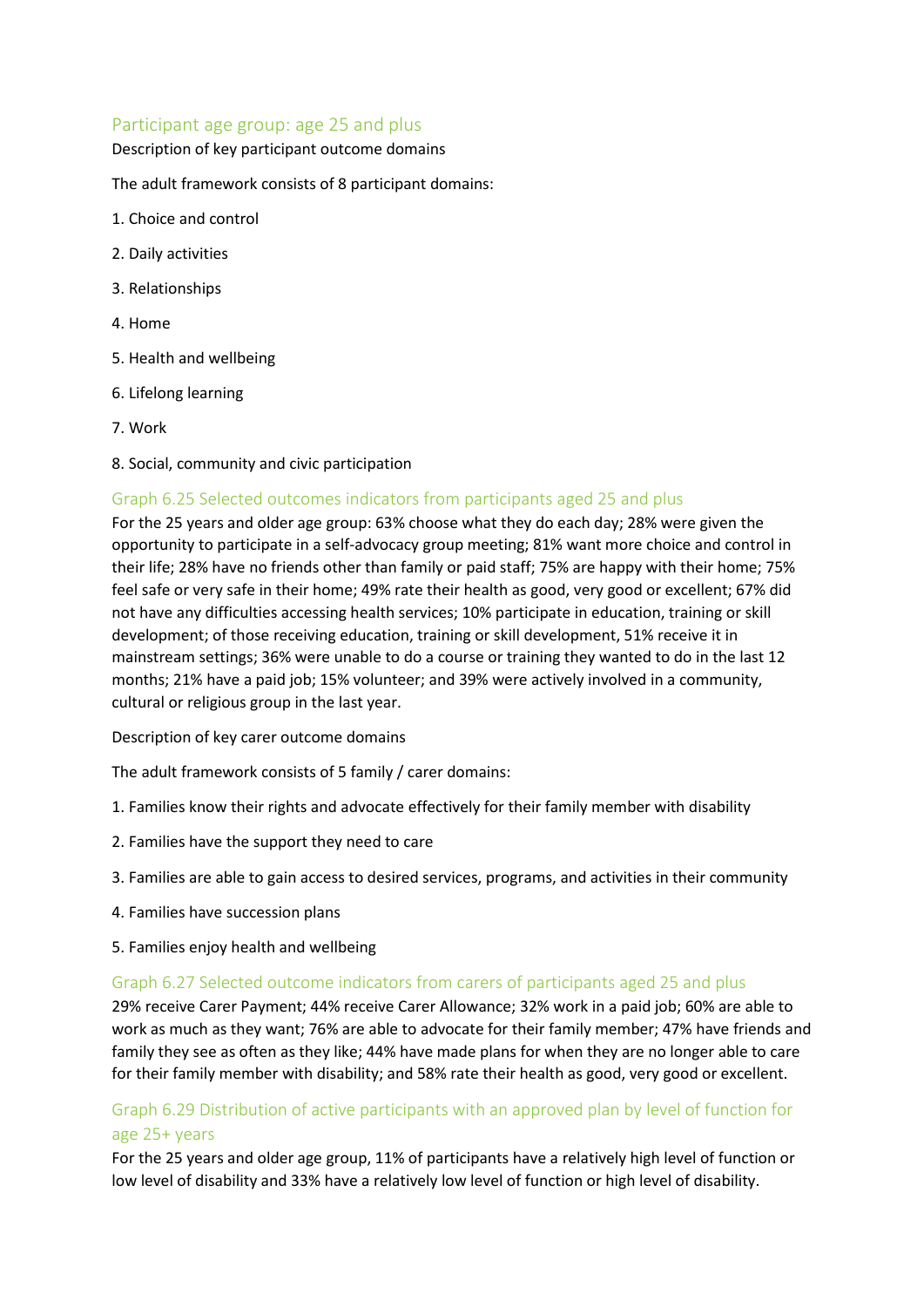#### Participant age group: age 25 and plus

#### Description of key participant outcome domains

The adult framework consists of 8 participant domains:

- 1. Choice and control
- 2. Daily activities
- 3. Relationships
- 4. Home
- 5. Health and wellbeing
- 6. Lifelong learning
- 7. Work
- 8. Social, community and civic participation

#### Graph 6.25 Selected outcomes indicators from participants aged 25 and plus

For the 25 years and older age group: 63% choose what they do each day; 28% were given the opportunity to participate in a self-advocacy group meeting; 81% want more choice and control in their life; 28% have no friends other than family or paid staff; 75% are happy with their home; 75% feel safe or very safe in their home; 49% rate their health as good, very good or excellent; 67% did not have any difficulties accessing health services; 10% participate in education, training or skill development; of those receiving education, training or skill development, 51% receive it in mainstream settings; 36% were unable to do a course or training they wanted to do in the last 12 months; 21% have a paid job; 15% volunteer; and 39% were actively involved in a community, cultural or religious group in the last year.

Description of key carer outcome domains

The adult framework consists of 5 family / carer domains:

- 1. Families know their rights and advocate effectively for their family member with disability
- 2. Families have the support they need to care
- 3. Families are able to gain access to desired services, programs, and activities in their community
- 4. Families have succession plans
- 5. Families enjoy health and wellbeing

#### Graph 6.27 Selected outcome indicators from carers of participants aged 25 and plus

29% receive Carer Payment; 44% receive Carer Allowance; 32% work in a paid job; 60% are able to work as much as they want; 76% are able to advocate for their family member; 47% have friends and family they see as often as they like; 44% have made plans for when they are no longer able to care for their family member with disability; and 58% rate their health as good, very good or excellent.

## Graph 6.29 Distribution of active participants with an approved plan by level of function for age 25+ years

For the 25 years and older age group, 11% of participants have a relatively high level of function or low level of disability and 33% have a relatively low level of function or high level of disability.